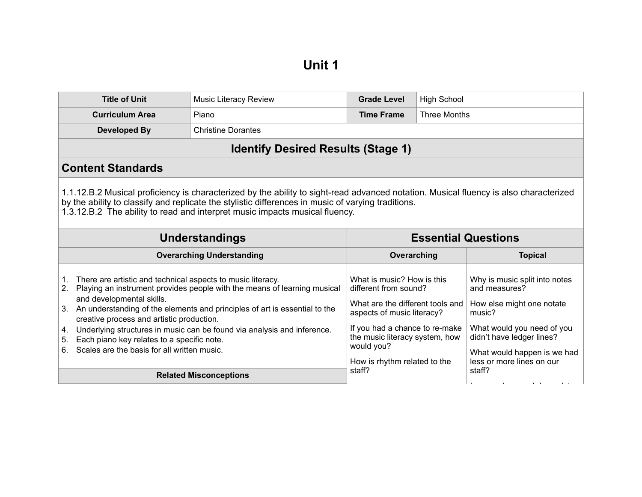| <b>Title of Unit</b>                                                                                                                                                                                                                                                                                                       | <b>Music Literacy Review</b>                                                                                                                                                                                                      | <b>Grade Level</b>                                                                                                                                                                                                                      | <b>High School</b>  |                                                                                                                                                                                                              |
|----------------------------------------------------------------------------------------------------------------------------------------------------------------------------------------------------------------------------------------------------------------------------------------------------------------------------|-----------------------------------------------------------------------------------------------------------------------------------------------------------------------------------------------------------------------------------|-----------------------------------------------------------------------------------------------------------------------------------------------------------------------------------------------------------------------------------------|---------------------|--------------------------------------------------------------------------------------------------------------------------------------------------------------------------------------------------------------|
| <b>Curriculum Area</b>                                                                                                                                                                                                                                                                                                     | Piano                                                                                                                                                                                                                             | <b>Time Frame</b>                                                                                                                                                                                                                       | <b>Three Months</b> |                                                                                                                                                                                                              |
| Developed By<br><b>Christine Dorantes</b>                                                                                                                                                                                                                                                                                  |                                                                                                                                                                                                                                   |                                                                                                                                                                                                                                         |                     |                                                                                                                                                                                                              |
| <b>Identify Desired Results (Stage 1)</b>                                                                                                                                                                                                                                                                                  |                                                                                                                                                                                                                                   |                                                                                                                                                                                                                                         |                     |                                                                                                                                                                                                              |
| <b>Content Standards</b>                                                                                                                                                                                                                                                                                                   |                                                                                                                                                                                                                                   |                                                                                                                                                                                                                                         |                     |                                                                                                                                                                                                              |
| 1.1.12.B.2 Musical proficiency is characterized by the ability to sight-read advanced notation. Musical fluency is also characterized<br>by the ability to classify and replicate the stylistic differences in music of varying traditions.<br>1.3.12.B.2 The ability to read and interpret music impacts musical fluency. |                                                                                                                                                                                                                                   |                                                                                                                                                                                                                                         |                     |                                                                                                                                                                                                              |
| <b>Essential Questions</b><br><b>Understandings</b>                                                                                                                                                                                                                                                                        |                                                                                                                                                                                                                                   |                                                                                                                                                                                                                                         |                     |                                                                                                                                                                                                              |
| <b>Overarching Understanding</b>                                                                                                                                                                                                                                                                                           |                                                                                                                                                                                                                                   | Overarching                                                                                                                                                                                                                             |                     | <b>Topical</b>                                                                                                                                                                                               |
| There are artistic and technical aspects to music literacy.<br>1.<br>2.<br>and developmental skills.<br>3.<br>creative process and artistic production.<br>4.<br>Each piano key relates to a specific note.<br>5.<br>Scales are the basis for all written music.<br>6.                                                     | Playing an instrument provides people with the means of learning musical<br>An understanding of the elements and principles of art is essential to the<br>Underlying structures in music can be found via analysis and inference. | What is music? How is this<br>different from sound?<br>What are the different tools and<br>aspects of music literacy?<br>If you had a chance to re-make<br>the music literacy system, how<br>would you?<br>How is rhythm related to the |                     | Why is music split into notes<br>and measures?<br>How else might one notate<br>music?<br>What would you need of you<br>didn't have ledger lines?<br>What would happen is we had<br>less or more lines on our |
|                                                                                                                                                                                                                                                                                                                            | <b>Related Misconceptions</b>                                                                                                                                                                                                     | staff?                                                                                                                                                                                                                                  |                     | staff?                                                                                                                                                                                                       |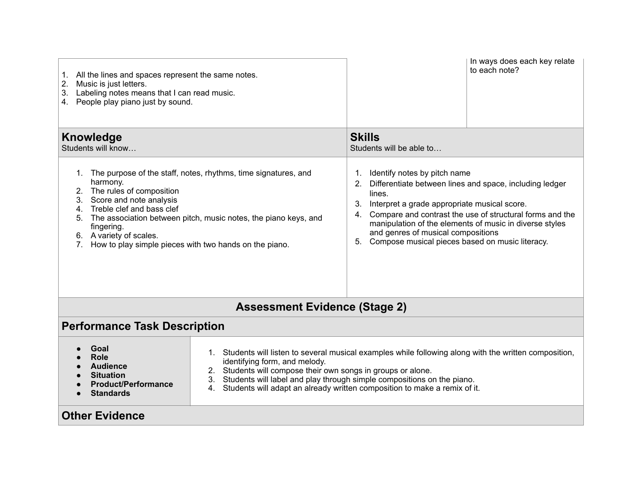| 1. All the lines and spaces represent the same notes.<br>2.<br>Music is just letters.<br>Labeling notes means that I can read music.<br>3.<br>4. People play piano just by sound.                                                                                                                                                                            |                                                                                                                                                                                                                                                                                                                                                                          |                                                                                                                                                                                                                                                                                                                                                                                                 | In ways does each key relate<br>to each note? |  |
|--------------------------------------------------------------------------------------------------------------------------------------------------------------------------------------------------------------------------------------------------------------------------------------------------------------------------------------------------------------|--------------------------------------------------------------------------------------------------------------------------------------------------------------------------------------------------------------------------------------------------------------------------------------------------------------------------------------------------------------------------|-------------------------------------------------------------------------------------------------------------------------------------------------------------------------------------------------------------------------------------------------------------------------------------------------------------------------------------------------------------------------------------------------|-----------------------------------------------|--|
| <b>Knowledge</b><br>Students will know                                                                                                                                                                                                                                                                                                                       |                                                                                                                                                                                                                                                                                                                                                                          | <b>Skills</b><br>Students will be able to                                                                                                                                                                                                                                                                                                                                                       |                                               |  |
| 1. The purpose of the staff, notes, rhythms, time signatures, and<br>harmony.<br>The rules of composition<br>2.<br>3. Score and note analysis<br>4. Treble clef and bass clef<br>5. The association between pitch, music notes, the piano keys, and<br>fingering.<br>6. A variety of scales.<br>How to play simple pieces with two hands on the piano.<br>7. |                                                                                                                                                                                                                                                                                                                                                                          | Identify notes by pitch name<br>1.<br>Differentiate between lines and space, including ledger<br>2.<br>lines.<br>Interpret a grade appropriate musical score.<br>3.<br>Compare and contrast the use of structural forms and the<br>4.<br>manipulation of the elements of music in diverse styles<br>and genres of musical compositions<br>Compose musical pieces based on music literacy.<br>5. |                                               |  |
| <b>Assessment Evidence (Stage 2)</b>                                                                                                                                                                                                                                                                                                                         |                                                                                                                                                                                                                                                                                                                                                                          |                                                                                                                                                                                                                                                                                                                                                                                                 |                                               |  |
| <b>Performance Task Description</b>                                                                                                                                                                                                                                                                                                                          |                                                                                                                                                                                                                                                                                                                                                                          |                                                                                                                                                                                                                                                                                                                                                                                                 |                                               |  |
| Goal<br>Role<br><b>Audience</b><br><b>Situation</b><br><b>Product/Performance</b><br><b>Standards</b>                                                                                                                                                                                                                                                        | Students will listen to several musical examples while following along with the written composition,<br>identifying form, and melody.<br>2. Students will compose their own songs in groups or alone.<br>Students will label and play through simple compositions on the piano.<br>3.<br>Students will adapt an already written composition to make a remix of it.<br>4. |                                                                                                                                                                                                                                                                                                                                                                                                 |                                               |  |
| <b>Other Evidence</b>                                                                                                                                                                                                                                                                                                                                        |                                                                                                                                                                                                                                                                                                                                                                          |                                                                                                                                                                                                                                                                                                                                                                                                 |                                               |  |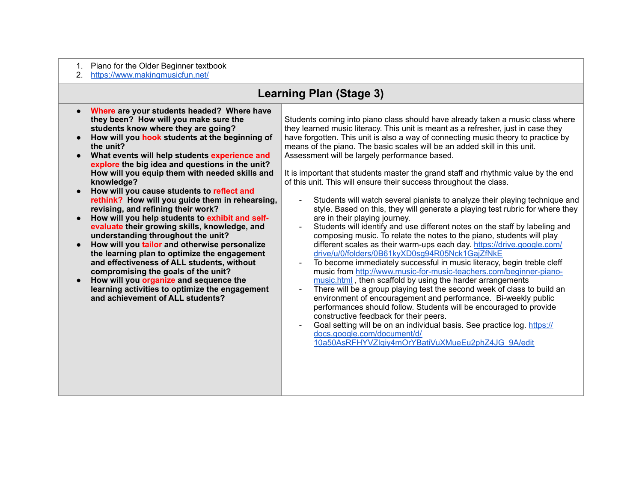- 1. Piano for the Older Beginner textbook
- 2. <https://www.makingmusicfun.net/>

## **Learning Plan (Stage 3)**

- **Where are your students headed? Where have they been? How will you make sure the students know where they are going?**
- **How will you hook students at the beginning of the unit?**
- **What events will help students experience and explore the big idea and questions in the unit? How will you equip them with needed skills and knowledge?**
- **How will you cause students to reflect and rethink? How will you guide them in rehearsing, revising, and refining their work?**
- **How will you help students to exhibit and selfevaluate their growing skills, knowledge, and understanding throughout the unit?**
- **How will you tailor and otherwise personalize the learning plan to optimize the engagement and effectiveness of ALL students, without compromising the goals of the unit?**
- **How will you organize and sequence the learning activities to optimize the engagement and achievement of ALL students?**

Students coming into piano class should have already taken a music class where they learned music literacy. This unit is meant as a refresher, just in case they have forgotten. This unit is also a way of connecting music theory to practice by means of the piano. The basic scales will be an added skill in this unit. Assessment will be largely performance based.

It is important that students master the grand staff and rhythmic value by the end of this unit. This will ensure their success throughout the class.

- Students will watch several pianists to analyze their playing technique and style. Based on this, they will generate a playing test rubric for where they are in their playing journey.
- Students will identify and use different notes on the staff by labeling and composing music. To relate the notes to the piano, students will play [different scales as their warm-ups each day. https://drive.google.com/](https://drive.google.com/drive/u/0/folders/0B61kyXD0sg94R05Nck1GajZfNkE) drive/u/0/folders/0B61kyXD0sg94R05Nck1GajZfNkE
- To become immediately successful in music literacy, begin treble cleff [music from http://www.music-for-music-teachers.com/beginner-piano](http://www.music-for-music-teachers.com/beginner-piano-music.html)music.html , then scaffold by using the harder arrangements
- There will be a group playing test the second week of class to build an environment of encouragement and performance. Bi-weekly public performances should follow. Students will be encouraged to provide constructive feedback for their peers.
- [Goal setting will be on an individual basis. See practice log. https://](https://docs.google.com/document/d/10a50AsRFHYVZIgiy4mOrYBatiVuXMueEu2phZ4JG_9A/edit) docs.google.com/document/d/ 10a50AsRFHYVZIgiy4mOrYBatiVuXMueEu2phZ4JG\_9A/edit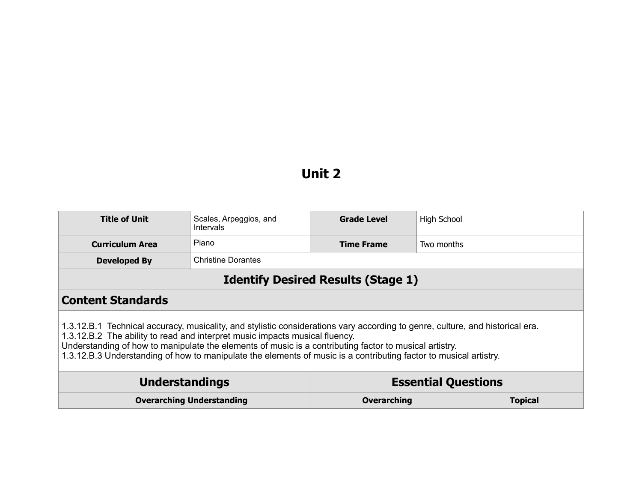## **Unit 2**

| <b>Title of Unit</b>                                                                                                                                                                                                                                                                                                                                                                                                                        | Scales, Arpeggios, and<br><b>Intervals</b> | <b>Grade Level</b> | High School                |  |
|---------------------------------------------------------------------------------------------------------------------------------------------------------------------------------------------------------------------------------------------------------------------------------------------------------------------------------------------------------------------------------------------------------------------------------------------|--------------------------------------------|--------------------|----------------------------|--|
| <b>Curriculum Area</b>                                                                                                                                                                                                                                                                                                                                                                                                                      | Piano                                      | <b>Time Frame</b>  | Two months                 |  |
| <b>Developed By</b>                                                                                                                                                                                                                                                                                                                                                                                                                         | <b>Christine Dorantes</b>                  |                    |                            |  |
| <b>Identify Desired Results (Stage 1)</b>                                                                                                                                                                                                                                                                                                                                                                                                   |                                            |                    |                            |  |
| <b>Content Standards</b>                                                                                                                                                                                                                                                                                                                                                                                                                    |                                            |                    |                            |  |
| 1.3.12.B.1 Technical accuracy, musicality, and stylistic considerations vary according to genre, culture, and historical era.<br>1.3.12.B.2 The ability to read and interpret music impacts musical fluency.<br>Understanding of how to manipulate the elements of music is a contributing factor to musical artistry.<br>1.3.12.B.3 Understanding of how to manipulate the elements of music is a contributing factor to musical artistry. |                                            |                    |                            |  |
| <b>Understandings</b>                                                                                                                                                                                                                                                                                                                                                                                                                       |                                            |                    | <b>Essential Questions</b> |  |
| <b>Overarching Understanding</b>                                                                                                                                                                                                                                                                                                                                                                                                            |                                            | <b>Overarching</b> | <b>Topical</b>             |  |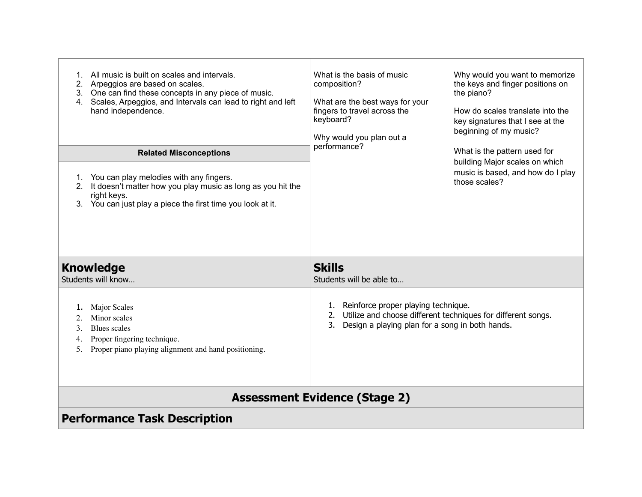| All music is built on scales and intervals.<br>1.<br>2. Arpeggios are based on scales.<br>3. One can find these concepts in any piece of music.<br>Scales, Arpeggios, and Intervals can lead to right and left<br>4.<br>hand independence.<br><b>Related Misconceptions</b><br>You can play melodies with any fingers.<br>1.<br>It doesn't matter how you play music as long as you hit the<br>2.<br>right keys.<br>You can just play a piece the first time you look at it.<br>3. | What is the basis of music<br>composition?<br>What are the best ways for your<br>fingers to travel across the<br>keyboard?<br>Why would you plan out a<br>performance? | Why would you want to memorize<br>the keys and finger positions on<br>the piano?<br>How do scales translate into the<br>key signatures that I see at the<br>beginning of my music?<br>What is the pattern used for<br>building Major scales on which<br>music is based, and how do I play<br>those scales? |  |
|------------------------------------------------------------------------------------------------------------------------------------------------------------------------------------------------------------------------------------------------------------------------------------------------------------------------------------------------------------------------------------------------------------------------------------------------------------------------------------|------------------------------------------------------------------------------------------------------------------------------------------------------------------------|------------------------------------------------------------------------------------------------------------------------------------------------------------------------------------------------------------------------------------------------------------------------------------------------------------|--|
| <b>Knowledge</b>                                                                                                                                                                                                                                                                                                                                                                                                                                                                   | <b>Skills</b>                                                                                                                                                          |                                                                                                                                                                                                                                                                                                            |  |
| Students will know                                                                                                                                                                                                                                                                                                                                                                                                                                                                 | Students will be able to                                                                                                                                               |                                                                                                                                                                                                                                                                                                            |  |
| <b>Major Scales</b><br>ı.<br>Minor scales<br>2.<br>Blues scales<br>3.<br>Proper fingering technique.<br>4.<br>Proper piano playing alignment and hand positioning.<br>5.                                                                                                                                                                                                                                                                                                           | 1. Reinforce proper playing technique.<br>2. Utilize and choose different techniques for different songs.<br>Design a playing plan for a song in both hands.           |                                                                                                                                                                                                                                                                                                            |  |
| <b>Assessment Evidence (Stage 2)</b>                                                                                                                                                                                                                                                                                                                                                                                                                                               |                                                                                                                                                                        |                                                                                                                                                                                                                                                                                                            |  |
| <b>Performance Task Description</b>                                                                                                                                                                                                                                                                                                                                                                                                                                                |                                                                                                                                                                        |                                                                                                                                                                                                                                                                                                            |  |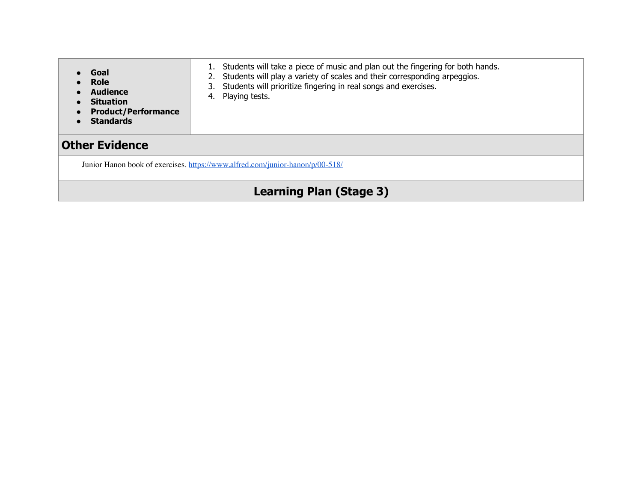| Goal<br>Role<br><b>Audience</b><br>$\bullet$<br><b>Situation</b><br>$\bullet$<br><b>Product/Performance</b><br>$\bullet$<br><b>Standards</b> | 1. Students will take a piece of music and plan out the fingering for both hands.<br>2. Students will play a variety of scales and their corresponding arpeggios.<br>3. Students will prioritize fingering in real songs and exercises.<br>4. Playing tests. |  |
|----------------------------------------------------------------------------------------------------------------------------------------------|--------------------------------------------------------------------------------------------------------------------------------------------------------------------------------------------------------------------------------------------------------------|--|
| <b>Other Evidence</b>                                                                                                                        |                                                                                                                                                                                                                                                              |  |
|                                                                                                                                              | Junior Hanon book of exercises. https://www.alfred.com/junior-hanon/p/00-518/                                                                                                                                                                                |  |
| <b>Learning Plan (Stage 3)</b>                                                                                                               |                                                                                                                                                                                                                                                              |  |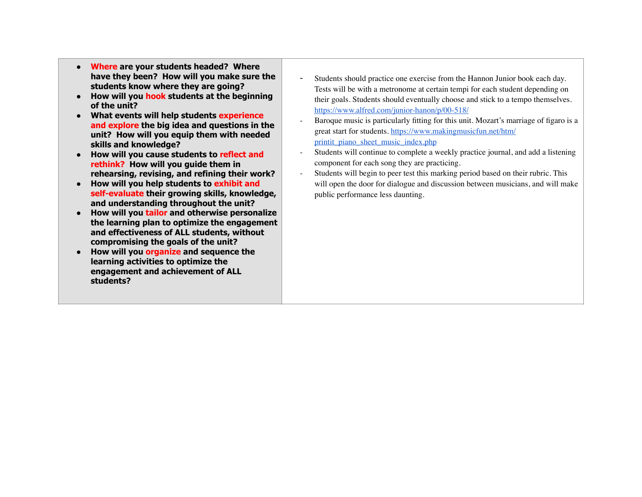- **Where are your students headed? Where have they been? How will you make sure the students know where they are going?**
- **How will you hook students at the beginning of the unit?**
- **What events will help students experience and explore the big idea and questions in the unit? How will you equip them with needed skills and knowledge?**
- **How will you cause students to reflect and rethink? How will you guide them in rehearsing, revising, and refining their work?**
- **How will you help students to exhibit and self-evaluate their growing skills, knowledge, and understanding throughout the unit?**
- **How will you tailor and otherwise personalize the learning plan to optimize the engagement and effectiveness of ALL students, without compromising the goals of the unit?**
- **How will you organize and sequence the learning activities to optimize the engagement and achievement of ALL students?**
- Students should practice one exercise from the Hannon Junior book each day. Tests will be with a metronome at certain tempi for each student depending on their goals. Students should eventually choose and stick to a tempo themselves. <https://www.alfred.com/junior-hanon/p/00-518/>
- Baroque music is particularly fitting for this unit. Mozart's marriage of figaro is a [great start for students. https://www.makingmusicfun.net/htm/](https://www.makingmusicfun.net/htm/printit_piano_sheet_music_index.php) printit\_piano\_sheet\_music\_index.php
- Students will continue to complete a weekly practice journal, and add a listening component for each song they are practicing.
- Students will begin to peer test this marking period based on their rubric. This will open the door for dialogue and discussion between musicians, and will make public performance less daunting.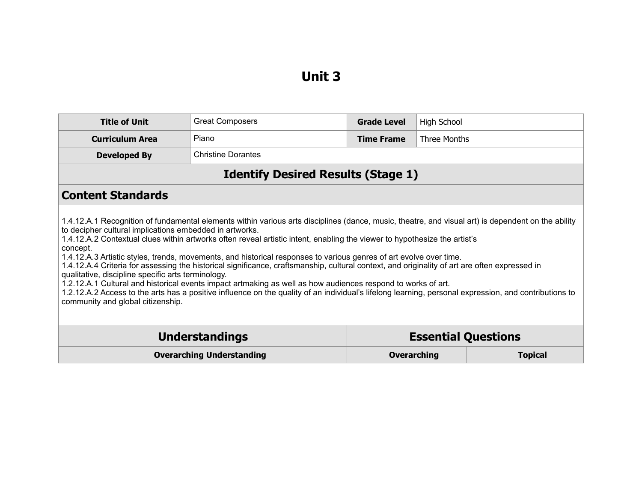## **Unit 3**

| <b>Title of Unit</b>                                                                                                                                                                                                                                                                                                                                                                                                                                                                                                                                                                                                                                                                                                                                                                                                                                                                                                                                                                              | <b>Great Composers</b>           | <b>Grade Level</b> | High School                |  |
|---------------------------------------------------------------------------------------------------------------------------------------------------------------------------------------------------------------------------------------------------------------------------------------------------------------------------------------------------------------------------------------------------------------------------------------------------------------------------------------------------------------------------------------------------------------------------------------------------------------------------------------------------------------------------------------------------------------------------------------------------------------------------------------------------------------------------------------------------------------------------------------------------------------------------------------------------------------------------------------------------|----------------------------------|--------------------|----------------------------|--|
| <b>Curriculum Area</b>                                                                                                                                                                                                                                                                                                                                                                                                                                                                                                                                                                                                                                                                                                                                                                                                                                                                                                                                                                            | Piano                            | <b>Time Frame</b>  | Three Months               |  |
| <b>Developed By</b>                                                                                                                                                                                                                                                                                                                                                                                                                                                                                                                                                                                                                                                                                                                                                                                                                                                                                                                                                                               | <b>Christine Dorantes</b>        |                    |                            |  |
| <b>Identify Desired Results (Stage 1)</b>                                                                                                                                                                                                                                                                                                                                                                                                                                                                                                                                                                                                                                                                                                                                                                                                                                                                                                                                                         |                                  |                    |                            |  |
| <b>Content Standards</b>                                                                                                                                                                                                                                                                                                                                                                                                                                                                                                                                                                                                                                                                                                                                                                                                                                                                                                                                                                          |                                  |                    |                            |  |
| 1.4.12.A.1 Recognition of fundamental elements within various arts disciplines (dance, music, theatre, and visual art) is dependent on the ability<br>to decipher cultural implications embedded in artworks.<br>1.4.12.A.2 Contextual clues within artworks often reveal artistic intent, enabling the viewer to hypothesize the artist's<br>concept.<br>1.4.12.A.3 Artistic styles, trends, movements, and historical responses to various genres of art evolve over time.<br>1.4.12.A.4 Criteria for assessing the historical significance, craftsmanship, cultural context, and originality of art are often expressed in<br>qualitative, discipline specific arts terminology.<br>1.2.12.A.1 Cultural and historical events impact artmaking as well as how audiences respond to works of art.<br>1.2.12.A.2 Access to the arts has a positive influence on the quality of an individual's lifelong learning, personal expression, and contributions to<br>community and global citizenship. |                                  |                    |                            |  |
|                                                                                                                                                                                                                                                                                                                                                                                                                                                                                                                                                                                                                                                                                                                                                                                                                                                                                                                                                                                                   | <b>Understandings</b>            |                    | <b>Essential Questions</b> |  |
|                                                                                                                                                                                                                                                                                                                                                                                                                                                                                                                                                                                                                                                                                                                                                                                                                                                                                                                                                                                                   | <b>Overarching Understanding</b> | <b>Overarching</b> | <b>Topical</b>             |  |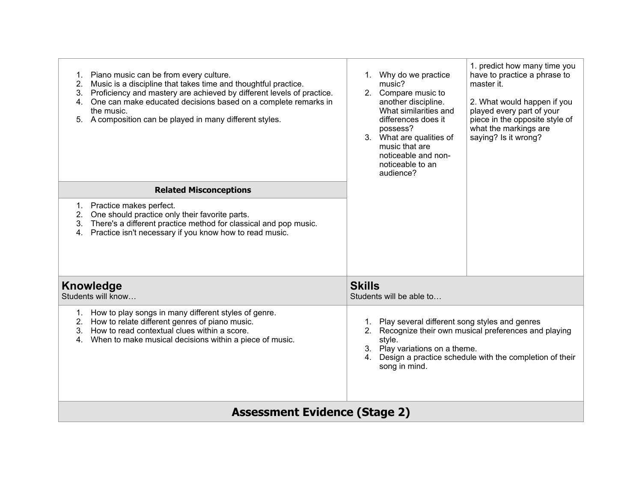| Piano music can be from every culture.<br>1.<br>Music is a discipline that takes time and thoughtful practice.<br>2.<br>Proficiency and mastery are achieved by different levels of practice.<br>3.<br>One can make educated decisions based on a complete remarks in<br>4.<br>the music.<br>5. A composition can be played in many different styles. | 1. predict how many time you<br>Why do we practice<br>have to practice a phrase to<br>1.<br>music?<br>master it.<br>2.<br>Compare music to<br>another discipline.<br>2. What would happen if you<br>What similarities and<br>played every part of your<br>piece in the opposite style of<br>differences does it<br>what the markings are<br>possess?<br>3. What are qualities of<br>saying? Is it wrong?<br>music that are<br>noticeable and non-<br>noticeable to an<br>audience? |  |  |
|-------------------------------------------------------------------------------------------------------------------------------------------------------------------------------------------------------------------------------------------------------------------------------------------------------------------------------------------------------|------------------------------------------------------------------------------------------------------------------------------------------------------------------------------------------------------------------------------------------------------------------------------------------------------------------------------------------------------------------------------------------------------------------------------------------------------------------------------------|--|--|
| <b>Related Misconceptions</b>                                                                                                                                                                                                                                                                                                                         |                                                                                                                                                                                                                                                                                                                                                                                                                                                                                    |  |  |
| Practice makes perfect.<br>1.<br>One should practice only their favorite parts.<br>2.<br>There's a different practice method for classical and pop music.<br>3.<br>Practice isn't necessary if you know how to read music.<br>4.                                                                                                                      |                                                                                                                                                                                                                                                                                                                                                                                                                                                                                    |  |  |
| <b>Knowledge</b><br>Students will know                                                                                                                                                                                                                                                                                                                | <b>Skills</b><br>Students will be able to                                                                                                                                                                                                                                                                                                                                                                                                                                          |  |  |
| How to play songs in many different styles of genre.<br>1.<br>How to relate different genres of piano music.<br>2.<br>How to read contextual clues within a score.<br>3.<br>When to make musical decisions within a piece of music.<br>4.                                                                                                             | Play several different song styles and genres<br>$1_{\cdot}$<br>Recognize their own musical preferences and playing<br>2.<br>style.<br>3. Play variations on a theme.<br>Design a practice schedule with the completion of their<br>4 <sup>1</sup><br>song in mind.                                                                                                                                                                                                                |  |  |
| <b>Assessment Evidence (Stage 2)</b>                                                                                                                                                                                                                                                                                                                  |                                                                                                                                                                                                                                                                                                                                                                                                                                                                                    |  |  |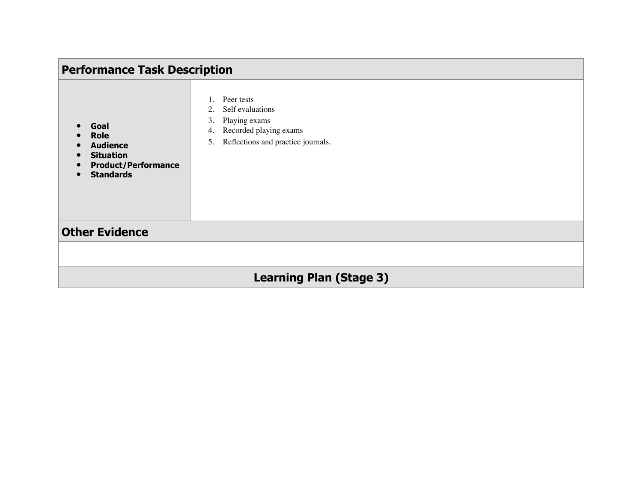| <b>Performance Task Description</b>                                                                          |                                                                                                                                         |  |  |
|--------------------------------------------------------------------------------------------------------------|-----------------------------------------------------------------------------------------------------------------------------------------|--|--|
| Goal<br><b>Role</b><br><b>Audience</b><br><b>Situation</b><br><b>Product/Performance</b><br><b>Standards</b> | Peer tests<br>Self evaluations<br>2.<br>Playing exams<br>3.<br>Recorded playing exams<br>4.<br>Reflections and practice journals.<br>5. |  |  |
| <b>Other Evidence</b>                                                                                        |                                                                                                                                         |  |  |
|                                                                                                              |                                                                                                                                         |  |  |
| <b>Learning Plan (Stage 3)</b>                                                                               |                                                                                                                                         |  |  |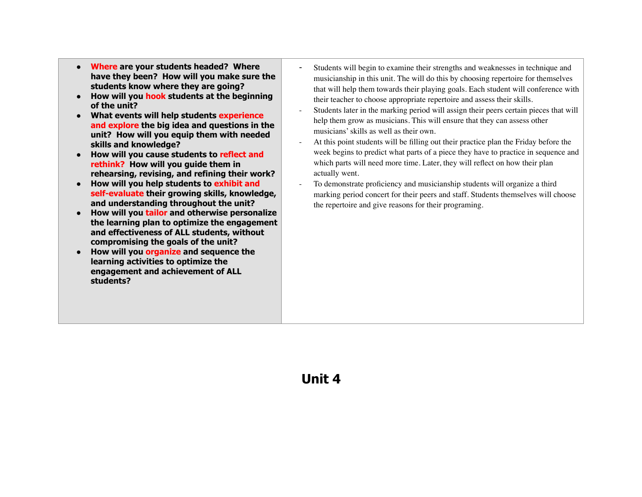- **Where are your students headed? Where have they been? How will you make sure the students know where they are going?**
- **How will you hook students at the beginning of the unit?**
- **What events will help students experience and explore the big idea and questions in the unit? How will you equip them with needed skills and knowledge?**
- **How will you cause students to reflect and rethink? How will you guide them in rehearsing, revising, and refining their work?**
- **How will you help students to exhibit and self-evaluate their growing skills, knowledge, and understanding throughout the unit?**
- **How will you tailor and otherwise personalize the learning plan to optimize the engagement and effectiveness of ALL students, without compromising the goals of the unit?**
- **How will you organize and sequence the learning activities to optimize the engagement and achievement of ALL students?**
- Students will begin to examine their strengths and weaknesses in technique and musicianship in this unit. The will do this by choosing repertoire for themselves that will help them towards their playing goals. Each student will conference with their teacher to choose appropriate repertoire and assess their skills.
- Students later in the marking period will assign their peers certain pieces that will help them grow as musicians. This will ensure that they can assess other musicians' skills as well as their own.
- At this point students will be filling out their practice plan the Friday before the week begins to predict what parts of a piece they have to practice in sequence and which parts will need more time. Later, they will reflect on how their plan actually went.
- To demonstrate proficiency and musicianship students will organize a third marking period concert for their peers and staff. Students themselves will choose the repertoire and give reasons for their programing.

## **Unit 4**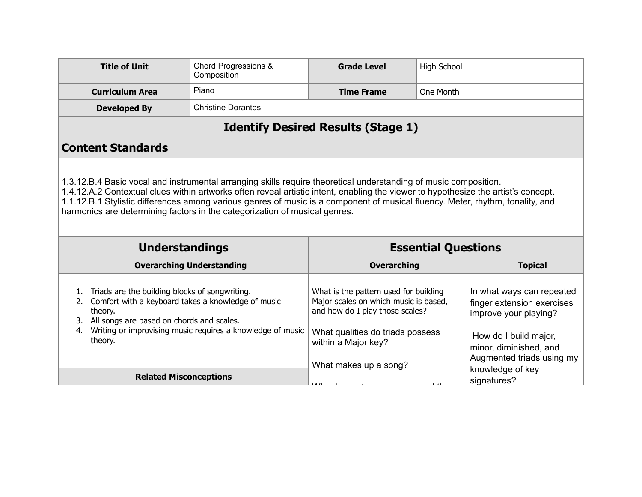| <b>Title of Unit</b>                                                                                                                                                                                                                                                                                                                                                                                                                                                   | Chord Progressions &<br>Composition       | <b>Grade Level</b>                                                                                                                                                                                    | <b>High School</b> |                                                                                                                                                                                      |
|------------------------------------------------------------------------------------------------------------------------------------------------------------------------------------------------------------------------------------------------------------------------------------------------------------------------------------------------------------------------------------------------------------------------------------------------------------------------|-------------------------------------------|-------------------------------------------------------------------------------------------------------------------------------------------------------------------------------------------------------|--------------------|--------------------------------------------------------------------------------------------------------------------------------------------------------------------------------------|
| <b>Curriculum Area</b>                                                                                                                                                                                                                                                                                                                                                                                                                                                 | Piano                                     | <b>Time Frame</b>                                                                                                                                                                                     | One Month          |                                                                                                                                                                                      |
| <b>Developed By</b>                                                                                                                                                                                                                                                                                                                                                                                                                                                    | <b>Christine Dorantes</b>                 |                                                                                                                                                                                                       |                    |                                                                                                                                                                                      |
|                                                                                                                                                                                                                                                                                                                                                                                                                                                                        | <b>Identify Desired Results (Stage 1)</b> |                                                                                                                                                                                                       |                    |                                                                                                                                                                                      |
| <b>Content Standards</b>                                                                                                                                                                                                                                                                                                                                                                                                                                               |                                           |                                                                                                                                                                                                       |                    |                                                                                                                                                                                      |
| 1.3.12.B.4 Basic vocal and instrumental arranging skills require theoretical understanding of music composition.<br>1.4.12.A.2 Contextual clues within artworks often reveal artistic intent, enabling the viewer to hypothesize the artist's concept.<br>1.1.12.B.1 Stylistic differences among various genres of music is a component of musical fluency. Meter, rhythm, tonality, and<br>harmonics are determining factors in the categorization of musical genres. |                                           |                                                                                                                                                                                                       |                    |                                                                                                                                                                                      |
| <b>Essential Questions</b><br><b>Understandings</b>                                                                                                                                                                                                                                                                                                                                                                                                                    |                                           |                                                                                                                                                                                                       |                    |                                                                                                                                                                                      |
| <b>Overarching Understanding</b>                                                                                                                                                                                                                                                                                                                                                                                                                                       |                                           | <b>Overarching</b>                                                                                                                                                                                    |                    | <b>Topical</b>                                                                                                                                                                       |
| Triads are the building blocks of songwriting.<br>1.<br>Comfort with a keyboard takes a knowledge of music<br>2.<br>theory.<br>3. All songs are based on chords and scales.<br>Writing or improvising music requires a knowledge of music<br>4.<br>theory.                                                                                                                                                                                                             |                                           |                                                                                                                                                                                                       |                    |                                                                                                                                                                                      |
|                                                                                                                                                                                                                                                                                                                                                                                                                                                                        |                                           | What is the pattern used for building<br>Major scales on which music is based,<br>and how do I play those scales?<br>What qualities do triads possess<br>within a Major key?<br>What makes up a song? |                    | In what ways can repeated<br>finger extension exercises<br>improve your playing?<br>How do I build major,<br>minor, diminished, and<br>Augmented triads using my<br>knowledge of key |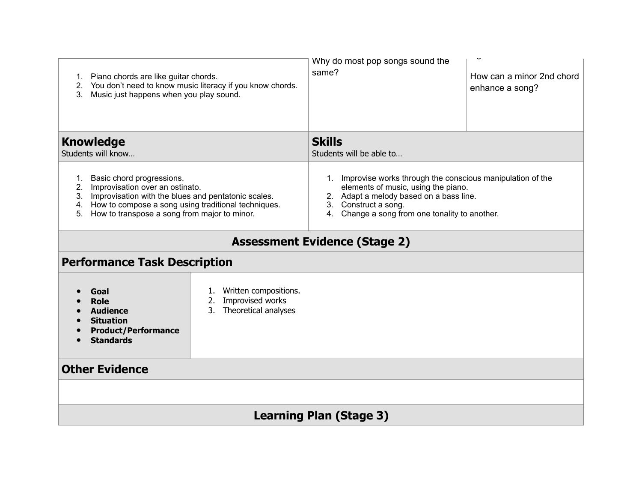| 1. Piano chords are like guitar chords.<br>You don't need to know music literacy if you know chords.<br>2.<br>Music just happens when you play sound.<br>3.                                                                               | Why do most pop songs sound the<br>same?  | How can a minor 2nd chord<br>enhance a song?                                                                                                                                                     |  |  |
|-------------------------------------------------------------------------------------------------------------------------------------------------------------------------------------------------------------------------------------------|-------------------------------------------|--------------------------------------------------------------------------------------------------------------------------------------------------------------------------------------------------|--|--|
| <b>Knowledge</b><br>Students will know                                                                                                                                                                                                    | <b>Skills</b><br>Students will be able to |                                                                                                                                                                                                  |  |  |
| 1. Basic chord progressions.<br>2. Improvisation over an ostinato.<br>3. Improvisation with the blues and pentatonic scales.<br>4. How to compose a song using traditional techniques.<br>5. How to transpose a song from major to minor. | 3. Construct a song.                      | 1. Improvise works through the conscious manipulation of the<br>elements of music, using the piano.<br>2. Adapt a melody based on a bass line.<br>4. Change a song from one tonality to another. |  |  |
| <b>Assessment Evidence (Stage 2)</b>                                                                                                                                                                                                      |                                           |                                                                                                                                                                                                  |  |  |
| <b>Performance Task Description</b>                                                                                                                                                                                                       |                                           |                                                                                                                                                                                                  |  |  |
| Written compositions.<br>1.<br>Goal<br>Improvised works<br><b>Role</b><br>2.<br>Theoretical analyses<br>3.<br><b>Audience</b><br><b>Situation</b><br><b>Product/Performance</b><br><b>Standards</b>                                       |                                           |                                                                                                                                                                                                  |  |  |
| <b>Other Evidence</b>                                                                                                                                                                                                                     |                                           |                                                                                                                                                                                                  |  |  |
|                                                                                                                                                                                                                                           |                                           |                                                                                                                                                                                                  |  |  |
| <b>Learning Plan (Stage 3)</b>                                                                                                                                                                                                            |                                           |                                                                                                                                                                                                  |  |  |